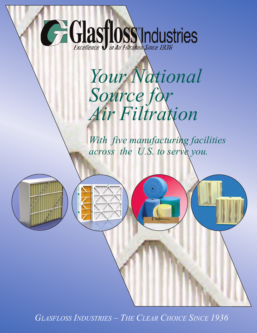# **CE Glasfloss Industries**

## *Your National Source for Air Filtration*

*With five manufacturing facilities across the U.S. to serve you.*

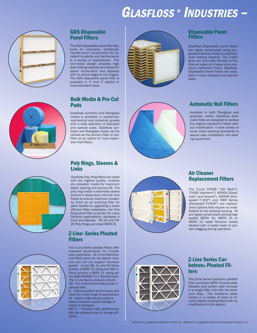## GLASFLOSS ® INDUSTRIES –









#### GDS Disposable Panel Filters

The GDS disposable panel filter features an innovative, reinforced, "double strut" construction for excellent durability and performance in a variety of applications. The non-metal design provides high dust holding capacity and allows for easier incineration and disposal with no sharp edges to cut fingers. The GDS disposable panel filter is available in 1" and 2" depths in many standard sizes.

#### Bulk Media & Pre-Cut Pads

Glasfloss synthetic and fiberglass media is available in residential, commercial and industrial grades with a wide selection of standard and special sizes. Glasfloss synthetic and fiberglass media can be utilized as the primary filter or prefilter as an option to more expensive final filters.

#### Poly Rings, Sleeves & Links

Glasfloss Poly Ring filters are made with the highest quality, multiple ply, polyester media for maximum depth loading and service life. The poly ring media is thermally sealed around a heavy-duty internal wire frame to ensure maximum durability. From an air entering filter for paint booths to upgrading a lower efficient filter installation, the Poly Ring panel filter is perfect for many filtration applications. Available in links and sleeves. PR-10 and PR-20 Poly Rings are rated MERV 8.

#### Z-Line® Series Pleated Filters

The Z-Line Series pleated filters offer improved performance for virtually every application. All Z-Line filters feature fibers which do not absorb moisture and will not support microbial growth. Z-Line SB, ZL and HV filters achieve a MERV 10 rating and MR-11 filters achieve a MERV 11 rating per the ANSI/ASHRAE 52.2 Test Standard. The Z-Line Series products include: SB - Our most economically-priced 1" pleated filter

ZL - Offers excellent performance and value for a wide range of applications HV - Ideal in high-velocity systems where maximum square footage of media is necessary

MR-11 - Provides high performance with low pressure drop for energy efficiency.



#### Disposable Panel **Filters**

Glasfloss Disposable panel filters are rigidly constructed using progressive density media to maximize dust holding capacity. Two metal grids are thermally bonded to the internal sides of a heavy-duty onepiece craftboard frame. Glasfloss Disposable Panel Filters are available in many standard and special sizes.



#### Automatic Roll Filters

Available in both fiberglass and polyester media, Glasfloss Automatic Rolls are designed to replace the original equipment filters without modification. A wide variety of cores meet exacting standards to assure easy installation into existing equipment.



#### Air Cleaner Replacement Filters

The Z-Line 500AB  $*(Air Bear^@)$ , 700SG (Aprilaire®), 600GA (Goodman® and Amana®), 400HW (Honeywell F-100®) and HWR Series (Honeywell FC40R®) are replacement options that require no modification to the existing housing. All are rigidly constructed utilizing high quality MERV 10, MERV 11 or MERV 13 rated filtration media backed with a metal mesh to prevent sagging during operation.



#### **Z-Line Series Car-<br>botron® Pleated Fil**ters

The Z-line Series Carbotron pleated filter combines MERV 8 particulate filtration and carbon odor removal in a single filter unit with low pressure drop. The Carbotron pleat comes in a variety of sizes to directly replace existing filters with no modification to the system.

\*(Air Bear is a registered trademark of Trion Inc.; Aprilaire is a registered trademark of Research Products, Inc.;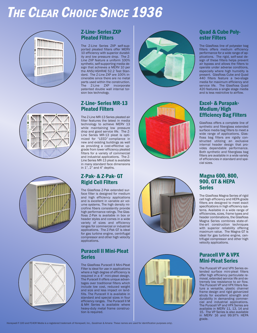## THE CLEAR CHOICE SINCE 1936









#### Z-Line® Series ZXP Pleated Filters

The Z-Line Series ZXP self-supported pleated filters offer MERV 10 efficiency with superior durability and low pressure drop. The Z-Line ZXP feature a uniform 100% synthetic, self-supporting media design that achieves a MERV 10 per the ANSI/ASHRAE 52.2 Test Standard. The Z-Line ZXP are 100% incinerable since there are no metal parts used within the construction. .<br>The Z-Line ZXP incorporate patented double wall internal torsion box technology.

#### Z-Line® Series MR-13 Pleated Filters

The Z-Line MR-13 Series pleated air filter features the latest in media technology to achieve MERV 13 while maintaining low pressure drop and good service life. The Z-Line Series MR-13 pleat is optimized for "LEED" compliance in new and existing buildings as well as providing a cost-effective upgrade from lower efficiency pleated filters for a variety of commercial and industrial applications. The Z-Line Series MR-13 pleat is available in many standard face dimensions in  $1$ ",  $2$ " and  $4$ " depths.

#### Z-Pak® & Z-Pak® GT Rigid Cell Filters

The Glasfloss Z-Pak extended surface filter is designed for medium and high efficiency applications and is excellent in variable air volume systems. The high density microfine fibers consistently provide high performance ratings. The Glasfloss Z-Pak is available in box or header styles and comes in a wide variety of sizes and efficiency ranges for commercial or industrial applications. The Z-Pak GT is ideal for gas turbine engine, centrifugal compressor and other high velocity applications.

#### Puracell II Mini-Pleat Series

The Glasfloss Puracell II Mini-Pleat Filter is ideal for use in applications where a high degree of efficiency is required in a 4" mini-pleat design. The Puracell II offers unique advantages over traditional filters which include low cost, reduced weight and size and less impact on landfills. The Puracell II is available in standard and special sizes in four efficiency ranges. The Puracell II M & MH Series is available where heavy-duty metal frame construction is required.









## Quad & Cube Poly-<br>ester Filters

The Glasfloss line of polyester bag filters offers medium efficiency performance for a wide range of applications. The rigid, self-seal design of these filters helps prevent air bypass and allows the filters to operate under adverse conditions, especially where high humidity is present. Glasfloss Cube and Quad 440 filters feature a two-stage media for maximum efficiency and service life. The Glasfloss Quad 420 features a single stage media and is less restrictive to airflow.

#### Excel® & Purapak® Medium/High Efficiency Bag Filters

Glasfloss offers a complete line of synthetic and fiberglass extended surface media bag filters to meet a wide range of applications. Glasfloss bag filters are rigidly constructed utilizing an exclusive internal header design that provides dependable performance. Both synthetic and fiberglass bag filters are available in a wide variety of efficiencies in standard and special sizes.

#### Magna 600, 800, 900, GT & HEPA Series

The Glasfloss Magna Series of rigid cell high efficiency and HEPA grade filters are designed to meet exact specifications in high efficiency systems. Available in a wide range of efficiencies, sizes, frame types and header combinations, the Glasfloss Magna Series combines state-ofthe-art construction techniques with superior reliability offering maximum value. The Magna GT is ideal for gas turbine engine, centrifugal compressor and other high velocity applications.

#### Puracell VP & VPX Mini-Pleat Series

The Puracell VP and VPX Series extended surface mini-pleat filters offer high efficiency particulate removal, extended service life and extremely low resistance to air flow. The Puracell VP and VPX filters feature a versatile, plastic channel frame design and rigid galvanized struts for excellent strength and durability in demanding commercial and industrial applications. The Puracell VP and VPX Series are available in MERV 11, 13, 14 and 15. The VP Series is also available in MERV 16 and 99.97% HEPA grade.

#### Honeywell F-100 and FC40R Media is a registered trademark of Honeywell, Inc., Goodman & Amana These names are used for identification purposes only).